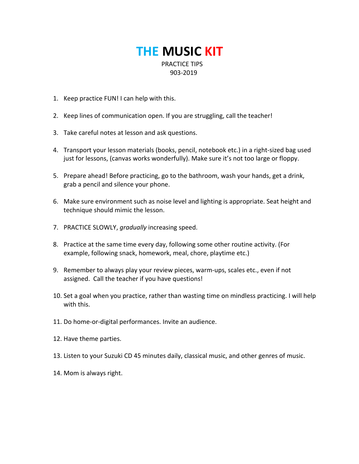## **THE MUSIC KIT** PRACTICE TIPS 903-2019

- 1. Keep practice FUN! I can help with this.
- 2. Keep lines of communication open. If you are struggling, call the teacher!
- 3. Take careful notes at lesson and ask questions.
- 4. Transport your lesson materials (books, pencil, notebook etc.) in a right-sized bag used just for lessons, (canvas works wonderfully). Make sure it's not too large or floppy.
- 5. Prepare ahead! Before practicing, go to the bathroom, wash your hands, get a drink, grab a pencil and silence your phone.
- 6. Make sure environment such as noise level and lighting is appropriate. Seat height and technique should mimic the lesson.
- 7. PRACTICE SLOWLY, *gradually* increasing speed.
- 8. Practice at the same time every day, following some other routine activity. (For example, following snack, homework, meal, chore, playtime etc.)
- 9. Remember to always play your review pieces, warm-ups, scales etc., even if not assigned. Call the teacher if you have questions!
- 10. Set a goal when you practice, rather than wasting time on mindless practicing. I will help with this.
- 11. Do home-or-digital performances. Invite an audience.
- 12. Have theme parties.
- 13. Listen to your Suzuki CD 45 minutes daily, classical music, and other genres of music.
- 14. Mom is always right.